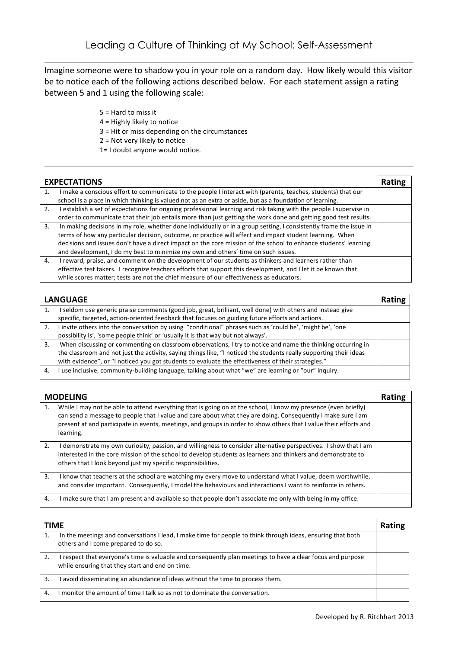Imagine someone were to shadow you in your role on a random day. How likely would this visitor be to notice each of the following actions described below. For each statement assign a rating between 5 and 1 using the following scale:

- $5 =$  Hard to miss it
- $4$  = Highly likely to notice
- $3$  = Hit or miss depending on the circumstances
- $2$  = Not very likely to notice
- 1= I doubt anyone would notice.

| <b>EXPECTATIONS</b> |                                                                                                                    | Rating |
|---------------------|--------------------------------------------------------------------------------------------------------------------|--------|
|                     | make a conscious effort to communicate to the people I interact with (parents, teaches, students) that our         |        |
|                     | school is a place in which thinking is valued not as an extra or aside, but as a foundation of learning.           |        |
| 2.                  | I establish a set of expectations for ongoing professional learning and risk taking with the people I supervise in |        |
|                     | order to communicate that their job entails more than just getting the work done and getting good test results.    |        |
| 3.                  | In making decisions in my role, whether done individually or in a group setting, I consistently frame the issue in |        |
|                     | terms of how any particular decision, outcome, or practice will affect and impact student learning. When           |        |
|                     | decisions and issues don't have a direct impact on the core mission of the school to enhance students' learning    |        |
|                     | and development, I do my best to minimize my own and others' time on such issues.                                  |        |
| $\overline{4}$ .    | reward, praise, and comment on the development of our students as thinkers and learners rather than                |        |
|                     | effective test takers. I recognize teachers efforts that support this development, and I let it be known that      |        |
|                     | while scores matter; tests are not the chief measure of our effectiveness as educators.                            |        |

|    | <b>LANGUAGE</b>                                                                                                                                                                                                                                                                                                                         | Rating |
|----|-----------------------------------------------------------------------------------------------------------------------------------------------------------------------------------------------------------------------------------------------------------------------------------------------------------------------------------------|--------|
|    | seldom use generic praise comments (good job, great, brilliant, well done) with others and instead give<br>specific, targeted, action-oriented feedback that focuses on guiding future efforts and actions.                                                                                                                             |        |
| 2. | I invite others into the conversation by using "conditional" phrases such as 'could be', 'might be', 'one<br>possibility is', 'some people think' or 'usually it is that way but not always'.                                                                                                                                           |        |
| 3. | When discussing or commenting on classroom observations, I try to notice and name the thinking occurring in<br>the classroom and not just the activity, saying things like, "I noticed the students really supporting their ideas<br>with evidence", or "I noticed you got students to evaluate the effectiveness of their strategies." |        |
| 4. | I use inclusive, community-building language, talking about what "we" are learning or "our" inquiry.                                                                                                                                                                                                                                    |        |

|    | <b>MODELING</b>                                                                                                                                                                                                                                                                                                                                                 | Rating |
|----|-----------------------------------------------------------------------------------------------------------------------------------------------------------------------------------------------------------------------------------------------------------------------------------------------------------------------------------------------------------------|--------|
| 1. | While I may not be able to attend everything that is going on at the school, I know my presence (even briefly)<br>can send a message to people that I value and care about what they are doing. Consequently I make sure I am<br>present at and participate in events, meetings, and groups in order to show others that I value their efforts and<br>learning. |        |
| 2. | l demonstrate my own curiosity, passion, and willingness to consider alternative perspectives. I show that I am<br>interested in the core mission of the school to develop students as learners and thinkers and demonstrate to<br>others that I look beyond just my specific responsibilities.                                                                 |        |
| 3. | I know that teachers at the school are watching my every move to understand what I value, deem worthwhile,<br>and consider important. Consequently, I model the behaviours and interactions I want to reinforce in others.                                                                                                                                      |        |
| 4. | I make sure that I am present and available so that people don't associate me only with being in my office.                                                                                                                                                                                                                                                     |        |

| <b>TIME</b>  |                                                                                                                                                              | Rating |
|--------------|--------------------------------------------------------------------------------------------------------------------------------------------------------------|--------|
|              | In the meetings and conversations I lead, I make time for people to think through ideas, ensuring that both<br>others and I come prepared to do so.          |        |
|              | respect that everyone's time is valuable and consequently plan meetings to have a clear focus and purpose<br>while ensuring that they start and end on time. |        |
| 3.           | avoid disseminating an abundance of ideas without the time to process them.                                                                                  |        |
| $\mathbf{A}$ | I monitor the amount of time I talk so as not to dominate the conversation.                                                                                  |        |